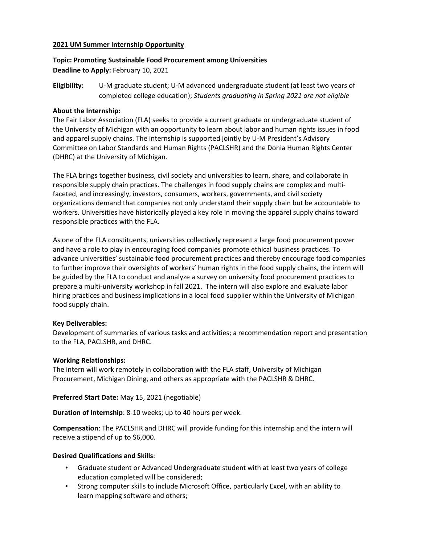#### **2021 UM Summer Internship Opportunity**

# **Topic: Promoting Sustainable Food Procurement among Universities Deadline to Apply:** February 10, 2021

**Eligibility:** U-M graduate student; U-M advanced undergraduate student (at least two years of completed college education); *Students graduating in Spring 2021 are not eligible*

#### **About the Internship:**

The Fair Labor Association (FLA) seeks to provide a current graduate or undergraduate student of the University of Michigan with an opportunity to learn about labor and human rights issues in food and apparel supply chains. The internship is supported jointly by U-M President's Advisory Committee on Labor Standards and Human Rights (PACLSHR) and the Donia Human Rights Center (DHRC) at the University of Michigan.

The FLA brings together business, civil society and universities to learn, share, and collaborate in responsible supply chain practices. The challenges in food supply chains are complex and multifaceted, and increasingly, investors, consumers, workers, governments, and civil society organizations demand that companies not only understand their supply chain but be accountable to workers. Universities have historically played a key role in moving the apparel supply chains toward responsible practices with the FLA.

As one of the FLA constituents, universities collectively represent a large food procurement power and have a role to play in encouraging food companies promote ethical business practices. To advance universities' sustainable food procurement practices and thereby encourage food companies to further improve their oversights of workers' human rights in the food supply chains, the intern will be guided by the FLA to conduct and analyze a survey on university food procurement practices to prepare a multi-university workshop in fall 2021. The intern will also explore and evaluate labor hiring practices and business implications in a local food supplier within the University of Michigan food supply chain.

#### **Key Deliverables:**

Development of summaries of various tasks and activities; a recommendation report and presentation to the FLA, PACLSHR, and DHRC.

#### **Working Relationships:**

The intern will work remotely in collaboration with the FLA staff, University of Michigan Procurement, Michigan Dining, and others as appropriate with the PACLSHR & DHRC.

**Preferred Start Date:** May 15, 2021 (negotiable)

**Duration of Internship**: 8-10 weeks; up to 40 hours per week.

**Compensation**: The PACLSHR and DHRC will provide funding for this internship and the intern will receive a stipend of up to \$6,000.

## **Desired Qualifications and Skills**:

- Graduate student or Advanced Undergraduate student with at least two years of college education completed will be considered;
- Strong computer skills to include Microsoft Office, particularly Excel, with an ability to learn mapping software and others;